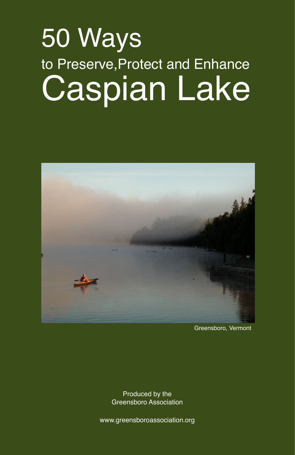# 50 Ways to Preserve,Protect and Enhance Caspian Lake



Greensboro, Vermont

Produced by the Greensboro Association

www.greensboroassociation.org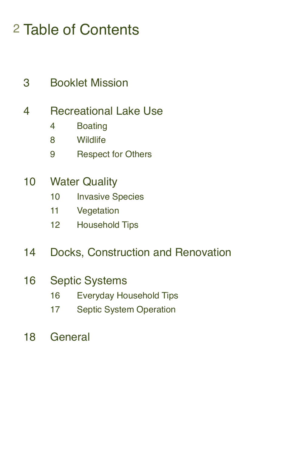# Table of Contents

Booklet Mission

# Recreational Lake Use

- Boating
- Wildlife
- Respect for Others
- Water Quality
	- 10 Invasive Species
	- Vegetation
	- Household Tips

# Docks, Construction and Renovation

# Septic Systems

- Everyday Household Tips
- Septic System Operation
- General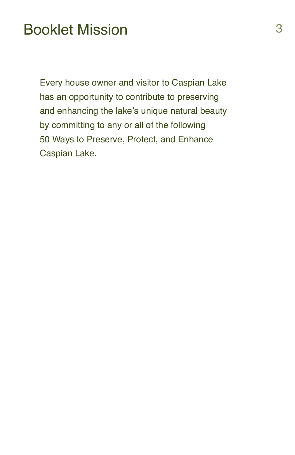# Booklet Mission 3

Every house owner and visitor to Caspian Lake has an opportunity to contribute to preserving and enhancing the lake's unique natural beauty by committing to any or all of the following 50 Ways to Preserve, Protect, and Enhance Caspian Lake.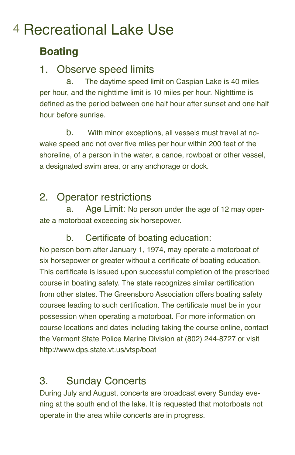# 4 Recreational Lake Use

# **Boating**

#### 1. Observe speed limits

a. The daytime speed limit on Caspian Lake is 40 miles per hour, and the nighttime limit is 10 miles per hour. Nighttime is defined as the period between one half hour after sunset and one half hour before sunrise.

b. With minor exceptions, all vessels must travel at nowake speed and not over five miles per hour within 200 feet of the shoreline, of a person in the water, a canoe, rowboat or other vessel, a designated swim area, or any anchorage or dock.

### 2. Operator restrictions

a. Age Limit: No person under the age of 12 may operate a motorboat exceeding six horsepower.

#### b. Certificate of boating education:

No person born after January 1, 1974, may operate a motorboat of six horsepower or greater without a certificate of boating education. This certificate is issued upon successful completion of the prescribed course in boating safety. The state recognizes similar certification from other states. The Greensboro Association offers boating safety courses leading to such certification. The certificate must be in your possession when operating a motorboat. For more information on course locations and dates including taking the course online, contact the Vermont State Police Marine Division at (802) 244-8727 or visit http://www.dps.state.vt.us/vtsp/boat

# 3. Sunday Concerts

During July and August, concerts are broadcast every Sunday evening at the south end of the lake. It is requested that motorboats not operate in the area while concerts are in progress.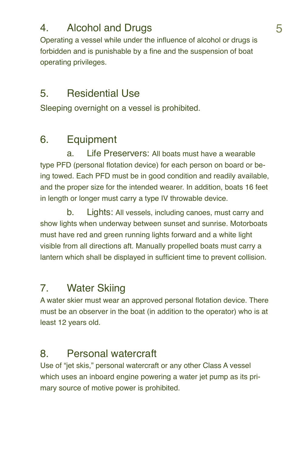# 4. Alcohol and Drugs 6. The Second State 1. The Second State 1. The Second State 1. The Second State 1. The Second State 1. The Second State 1. The Second State 1. The Second State 1. The Second State 1. The Second State 1

Operating a vessel while under the influence of alcohol or drugs is forbidden and is punishable by a fine and the suspension of boat operating privileges.

### 5. Residential Use

Sleeping overnight on a vessel is prohibited.

# 6. Equipment

a. Life Preservers: All boats must have a wearable type PFD (personal flotation device) for each person on board or being towed. Each PFD must be in good condition and readily available, and the proper size for the intended wearer. In addition, boats 16 feet in length or longer must carry a type IV throwable device.

b. Lights: All vessels, including canoes, must carry and show lights when underway between sunset and sunrise. Motorboats must have red and green running lights forward and a white light visible from all directions aft. Manually propelled boats must carry a lantern which shall be displayed in sufficient time to prevent collision.

# 7. Water Skiing

A water skier must wear an approved personal flotation device. There must be an observer in the boat (in addition to the operator) who is at least 12 years old.

# 8. Personal watercraft

Use of "jet skis," personal watercraft or any other Class A vessel which uses an inboard engine powering a water jet pump as its primary source of motive power is prohibited.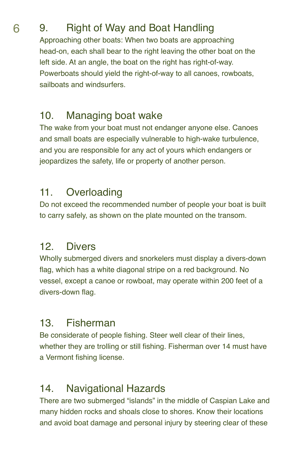# 6 9. Right of Way and Boat Handling

Approaching other boats: When two boats are approaching head-on, each shall bear to the right leaving the other boat on the left side. At an angle, the boat on the right has right-of-way. Powerboats should yield the right-of-way to all canoes, rowboats, sailboats and windsurfers.

### 10. Managing boat wake

The wake from your boat must not endanger anyone else. Canoes and small boats are especially vulnerable to high-wake turbulence, and you are responsible for any act of yours which endangers or jeopardizes the safety, life or property of another person.

# 11. Overloading

Do not exceed the recommended number of people your boat is built to carry safely, as shown on the plate mounted on the transom.

# 12. Divers

Wholly submerged divers and snorkelers must display a divers-down flag, which has a white diagonal stripe on a red background. No vessel, except a canoe or rowboat, may operate within 200 feet of a divers-down flaq.

# 13. Fisherman

Be considerate of people fishing. Steer well clear of their lines, whether they are trolling or still fishing. Fisherman over 14 must have a Vermont fishing license.

# 14. Navigational Hazards

There are two submerged "islands" in the middle of Caspian Lake and many hidden rocks and shoals close to shores. Know their locations and avoid boat damage and personal injury by steering clear of these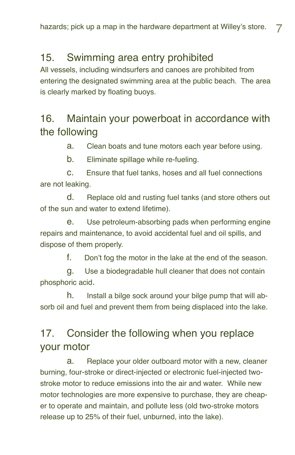#### 15. Swimming area entry prohibited

All vessels, including windsurfers and canoes are prohibited from entering the designated swimming area at the public beach. The area is clearly marked by floating buoys.

#### 16. Maintain your powerboat in accordance with the following

a. Clean boats and tune motors each year before using.

b. Eliminate spillage while re-fueling.

c. Ensure that fuel tanks, hoses and all fuel connections are not leaking.

d. Replace old and rusting fuel tanks (and store others out of the sun and water to extend lifetime).

e. Use petroleum-absorbing pads when performing engine repairs and maintenance, to avoid accidental fuel and oil spills, and dispose of them properly.

f. Don't fog the motor in the lake at the end of the season.

g. Use a biodegradable hull cleaner that does not contain phosphoric acid.

h. Install a bilge sock around your bilge pump that will absorb oil and fuel and prevent them from being displaced into the lake.

# 17. Consider the following when you replace your motor

a. Replace your older outboard motor with a new, cleaner burning, four-stroke or direct-injected or electronic fuel-injected twostroke motor to reduce emissions into the air and water. While new motor technologies are more expensive to purchase, they are cheaper to operate and maintain, and pollute less (old two-stroke motors release up to 25% of their fuel, unburned, into the lake).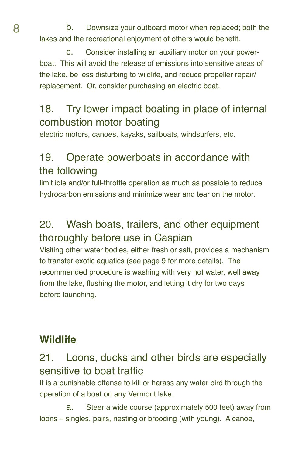8 b. Downsize your outboard motor when replaced; both the lakes and the recreational enjoyment of others would benefit.

> c. Consider installing an auxiliary motor on your powerboat. This will avoid the release of emissions into sensitive areas of the lake, be less disturbing to wildlife, and reduce propeller repair/ replacement. Or, consider purchasing an electric boat.

# 18. Try lower impact boating in place of internal combustion motor boating

electric motors, canoes, kayaks, sailboats, windsurfers, etc.

# 19. Operate powerboats in accordance with the following

limit idle and/or full-throttle operation as much as possible to reduce hydrocarbon emissions and minimize wear and tear on the motor.

#### 20. Wash boats, trailers, and other equipment thoroughly before use in Caspian

Visiting other water bodies, either fresh or salt, provides a mechanism to transfer exotic aquatics (see page 9 for more details). The recommended procedure is washing with very hot water, well away from the lake, flushing the motor, and letting it dry for two days before launching.

#### **Wildlife**

#### 21. Loons, ducks and other birds are especially sensitive to boat traffic

It is a punishable offense to kill or harass any water bird through the operation of a boat on any Vermont lake.

a. Steer a wide course (approximately 500 feet) away from loons – singles, pairs, nesting or brooding (with young). A canoe,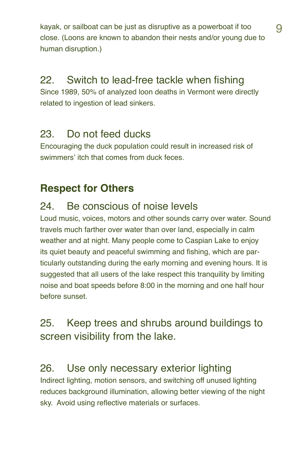kayak, or sailboat can be just as disruptive as a powerboat if too **q** close. (Loons are known to abandon their nests and/or young due to human disruption.)

# 22. Switch to lead-free tackle when fishing

Since 1989, 50% of analyzed loon deaths in Vermont were directly related to ingestion of lead sinkers.

#### 23. Do not feed ducks

Encouraging the duck population could result in increased risk of swimmers' itch that comes from duck feces.

### **Respect for Others**

#### 24. Be conscious of noise levels

Loud music, voices, motors and other sounds carry over water. Sound travels much farther over water than over land, especially in calm weather and at night. Many people come to Caspian Lake to enjoy its quiet beauty and peaceful swimming and fishing, which are particularly outstanding during the early morning and evening hours. It is suggested that all users of the lake respect this tranquility by limiting noise and boat speeds before 8:00 in the morning and one half hour before sunset.

#### 25. Keep trees and shrubs around buildings to screen visibility from the lake.

#### 26. Use only necessary exterior lighting

Indirect lighting, motion sensors, and switching off unused lighting reduces background illumination, allowing better viewing of the night sky. Avoid using reflective materials or surfaces.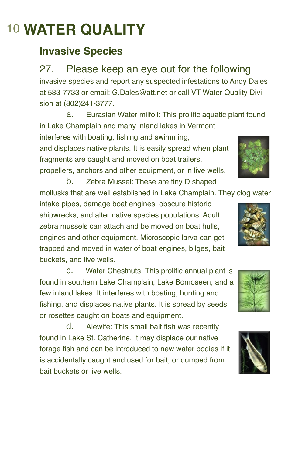# 10 **WATER QUALITY**

# **Invasive Species**

27. Please keep an eye out for the following invasive species and report any suspected infestations to Andy Dales at 533-7733 or email: G.Dales@att.net or call VT Water Quality Division at (802)241-3777.

a. Eurasian Water milfoil: This prolific aquatic plant found in Lake Champlain and many inland lakes in Vermont interferes with boating, fishing and swimming, and displaces native plants. It is easily spread when plant fragments are caught and moved on boat trailers, propellers, anchors and other equipment, or in live wells. b. Zebra Mussel: These are tiny D shaped

mollusks that are well established in Lake Champlain. They clog water

intake pipes, damage boat engines, obscure historic shipwrecks, and alter native species populations. Adult zebra mussels can attach and be moved on boat hulls, engines and other equipment. Microscopic larva can get trapped and moved in water of boat engines, bilges, bait buckets, and live wells.

**C.** Water Chestnuts: This prolific annual plant is found in southern Lake Champlain, Lake Bomoseen, and a few inland lakes. It interferes with boating, hunting and fishing, and displaces native plants. It is spread by seeds or rosettes caught on boats and equipment.

d. Alewife: This small bait fish was recently found in Lake St. Catherine. It may displace our native forage fish and can be introduced to new water bodies if it is accidentally caught and used for bait, or dumped from bait buckets or live wells.





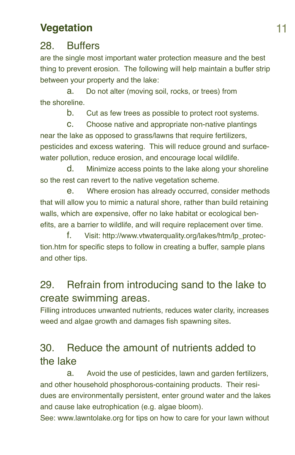#### **Vegetation** 11

#### 28. Buffers

are the single most important water protection measure and the best thing to prevent erosion. The following will help maintain a buffer strip between your property and the lake:

a. Do not alter (moving soil, rocks, or trees) from the shoreline.

b. Cut as few trees as possible to protect root systems.

c. Choose native and appropriate non-native plantings near the lake as opposed to grass/lawns that require fertilizers, pesticides and excess watering. This will reduce ground and surfacewater pollution, reduce erosion, and encourage local wildlife.

d. Minimize access points to the lake along your shoreline so the rest can revert to the native vegetation scheme.

e. Where erosion has already occurred, consider methods that will allow you to mimic a natural shore, rather than build retaining walls, which are expensive, offer no lake habitat or ecological benefits, are a barrier to wildlife, and will require replacement over time.

f. Visit: http://www.vtwaterquality.org/lakes/htm/lp\_protection.htm for specific steps to follow in creating a buffer, sample plans and other tips.

# 29. Refrain from introducing sand to the lake to create swimming areas.

Filling introduces unwanted nutrients, reduces water clarity, increases weed and algae growth and damages fish spawning sites.

# 30. Reduce the amount of nutrients added to the lake

a. Avoid the use of pesticides, lawn and garden fertilizers, and other household phosphorous-containing products. Their residues are environmentally persistent, enter ground water and the lakes and cause lake eutrophication (e.g. algae bloom).

See: www.lawntolake.org for tips on how to care for your lawn without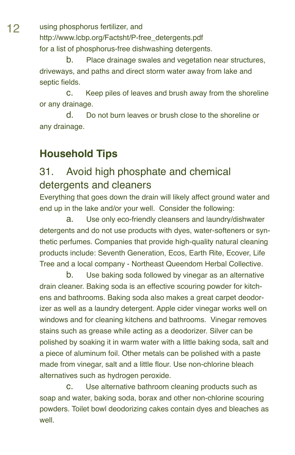12 using phosphorus fertilizer, and http://www.lcbp.org/Factsht/P-free\_detergents.pdf for a list of phosphorus-free dishwashing detergents.

> b. Place drainage swales and vegetation near structures, driveways, and paths and direct storm water away from lake and septic fields.

c. Keep piles of leaves and brush away from the shoreline or any drainage.

d. Do not burn leaves or brush close to the shoreline or any drainage.

#### **Household Tips**

#### 31. Avoid high phosphate and chemical detergents and cleaners

Everything that goes down the drain will likely affect ground water and end up in the lake and/or your well. Consider the following:

a. Use only eco-friendly cleansers and laundry/dishwater detergents and do not use products with dyes, water-softeners or synthetic perfumes. Companies that provide high-quality natural cleaning products include: Seventh Generation, Ecos, Earth Rite, Ecover, Life Tree and a local company - Northeast Queendom Herbal Collective.

b. Use baking soda followed by vinegar as an alternative drain cleaner. Baking soda is an effective scouring powder for kitchens and bathrooms. Baking soda also makes a great carpet deodorizer as well as a laundry detergent. Apple cider vinegar works well on windows and for cleaning kitchens and bathrooms. Vinegar removes stains such as grease while acting as a deodorizer. Silver can be polished by soaking it in warm water with a little baking soda, salt and a piece of aluminum foil. Other metals can be polished with a paste made from vinegar, salt and a little flour. Use non-chlorine bleach alternatives such as hydrogen peroxide.

c. Use alternative bathroom cleaning products such as soap and water, baking soda, borax and other non-chlorine scouring powders. Toilet bowl deodorizing cakes contain dyes and bleaches as well.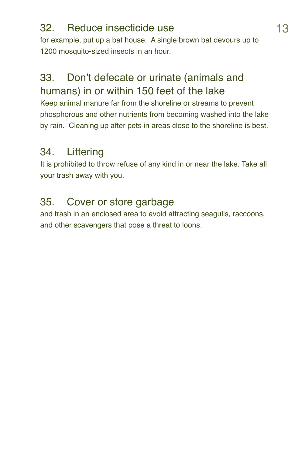#### 32. Reduce insecticide use 13

for example, put up a bat house. A single brown bat devours up to 1200 mosquito-sized insects in an hour.

# 33. Don't defecate or urinate (animals and humans) in or within 150 feet of the lake

Keep animal manure far from the shoreline or streams to prevent phosphorous and other nutrients from becoming washed into the lake by rain. Cleaning up after pets in areas close to the shoreline is best.

# 34. Littering

It is prohibited to throw refuse of any kind in or near the lake. Take all your trash away with you.

### 35. Cover or store garbage

and trash in an enclosed area to avoid attracting seagulls, raccoons, and other scavengers that pose a threat to loons.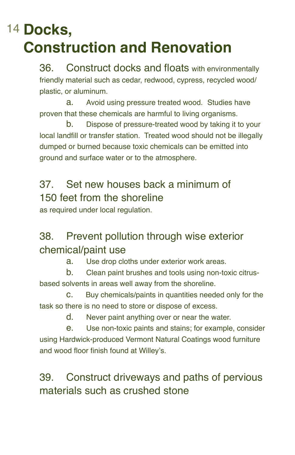# 14 **Docks, Construction and Renovation**

36. Construct docks and floats with environmentally friendly material such as cedar, redwood, cypress, recycled wood/ plastic, or aluminum.

a. Avoid using pressure treated wood. Studies have proven that these chemicals are harmful to living organisms.

b. Dispose of pressure-treated wood by taking it to your local landfill or transfer station. Treated wood should not be illegally dumped or burned because toxic chemicals can be emitted into ground and surface water or to the atmosphere.

# 37. Set new houses back a minimum of 150 feet from the shoreline

as required under local regulation.

# 38. Prevent pollution through wise exterior chemical/paint use

a. Use drop cloths under exterior work areas.

b. Clean paint brushes and tools using non-toxic citrusbased solvents in areas well away from the shoreline.

c. Buy chemicals/paints in quantities needed only for the task so there is no need to store or dispose of excess.

d. Never paint anything over or near the water.

e. Use non-toxic paints and stains; for example, consider using Hardwick-produced Vermont Natural Coatings wood furniture and wood floor finish found at Willey's.

# 39. Construct driveways and paths of pervious materials such as crushed stone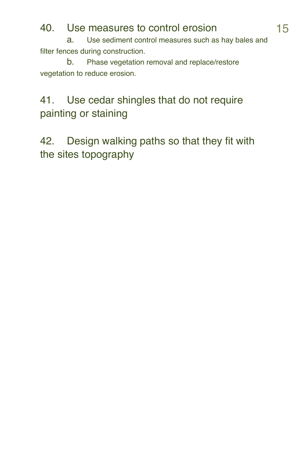#### 40. Use measures to control erosion 15

a. Use sediment control measures such as hay bales and filter fences during construction.

b. Phase vegetation removal and replace/restore vegetation to reduce erosion.

# 41. Use cedar shingles that do not require painting or staining

42. Design walking paths so that they fit with the sites topography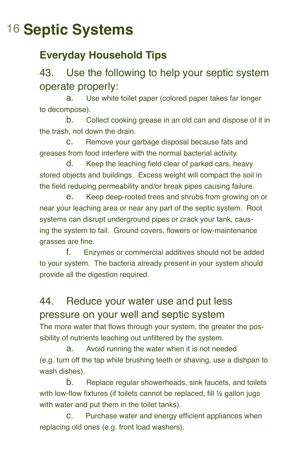# 16 **Septic Systems**

# **Everyday Household Tips**

### 43. Use the following to help your septic system operate properly:

a. Use white toilet paper (colored paper takes far longer to decompose).

b. Collect cooking grease in an old can and dispose of it in the trash, not down the drain.

c. Remove your garbage disposal because fats and greases from food interfere with the normal bacterial activity.

d. Keep the leaching field clear of parked cars, heavy stored objects and buildings. Excess weight will compact the soil in the field reducing permeability and/or break pipes causing failure.

e. Keep deep-rooted trees and shrubs from growing on or near your leaching area or near any part of the septic system. Root systems can disrupt underground pipes or crack your tank, causing the system to fail. Ground covers, flowers or low-maintenance grasses are fine.

f. Enzymes or commercial additives should not be added to your system. The bacteria already present in your system should provide all the digestion required.

# 44. Reduce your water use and put less pressure on your well and septic system

The more water that flows through your system, the greater the possibility of nutrients leaching out unfiltered by the system.

a. Avoid running the water when it is not needed (e.g. turn off the tap while brushing teeth or shaving, use a dishpan to wash dishes).

b. Replace regular showerheads, sink faucets, and toilets with low-flow fixtures (if toilets cannot be replaced, fill  $\frac{1}{2}$  gallon jugs with water and put them in the toilet tanks).

c. Purchase water and energy efficient appliances when replacing old ones (e.g. front load washers).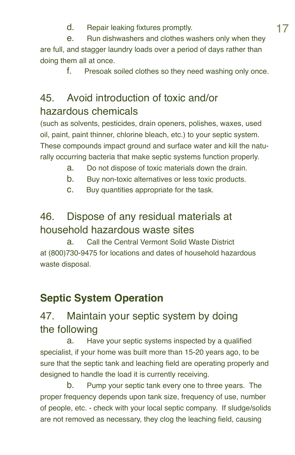d. Repair leaking fixtures promptly.<br>  $\frac{17}{17}$ <br>  $\theta$ . Bun dishwashers and clothes washers only when they Run dishwashers and clothes washers only when they are full, and stagger laundry loads over a period of days rather than doing them all at once.

f. Presoak soiled clothes so they need washing only once.

#### 45. Avoid introduction of toxic and/or hazardous chemicals

(such as solvents, pesticides, drain openers, polishes, waxes, used oil, paint, paint thinner, chlorine bleach, etc.) to your septic system. These compounds impact ground and surface water and kill the naturally occurring bacteria that make septic systems function properly.

- a. Do not dispose of toxic materials down the drain.
- b. Buy non-toxic alternatives or less toxic products.
- c. Buy quantities appropriate for the task.

# 46. Dispose of any residual materials at household hazardous waste sites

a. Call the Central Vermont Solid Waste District at (800)730-9475 for locations and dates of household hazardous waste disposal.

# **Septic System Operation**

# 47. Maintain your septic system by doing the following

a. Have your septic systems inspected by a qualified specialist, if your home was built more than 15-20 years ago, to be sure that the septic tank and leaching field are operating properly and designed to handle the load it is currently receiving.

b. Pump your septic tank every one to three years. The proper frequency depends upon tank size, frequency of use, number of people, etc. - check with your local septic company. If sludge/solids are not removed as necessary, they clog the leaching field, causing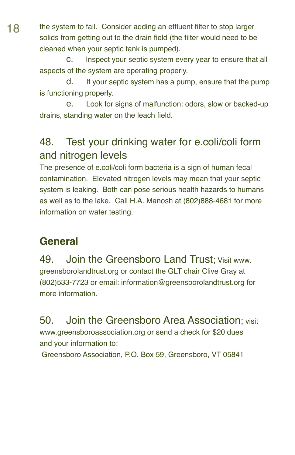18 the system to fail. Consider adding an effluent filter to stop larger solids from getting out to the drain field (the filter would need to be cleaned when your septic tank is pumped).

> c. Inspect your septic system every year to ensure that all aspects of the system are operating properly.

> d. If your septic system has a pump, ensure that the pump is functioning properly.

> e. Look for signs of malfunction: odors, slow or backed-up drains, standing water on the leach field.

#### 48. Test your drinking water for e.coli/coli form and nitrogen levels

The presence of e.coli/coli form bacteria is a sign of human fecal contamination. Elevated nitrogen levels may mean that your septic system is leaking. Both can pose serious health hazards to humans as well as to the lake. Call H.A. Manosh at (802)888-4681 for more information on water testing.

#### **General**

49. Join the Greensboro Land Trust; Visit www. greensborolandtrust.org or contact the GLT chair Clive Gray at (802)533-7723 or email: information@greensborolandtrust.org for more information.

50. Join the Greensboro Area Association; visit www.greensboroassociation.org or send a check for \$20 dues and your information to:

Greensboro Association, P.O. Box 59, Greensboro, VT 05841